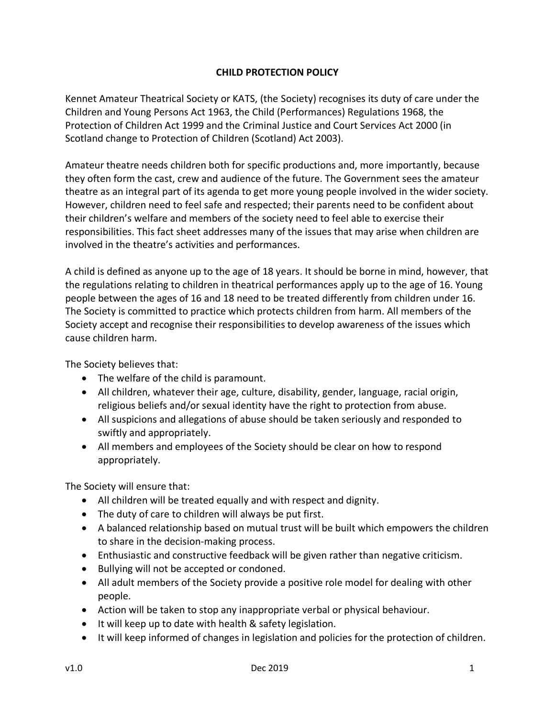## **CHILD PROTECTION POLICY**

Kennet Amateur Theatrical Society or KATS, (the Society) recognises its duty of care under the Children and Young Persons Act 1963, the Child (Performances) Regulations 1968, the Protection of Children Act 1999 and the Criminal Justice and Court Services Act 2000 (in Scotland change to Protection of Children (Scotland) Act 2003).

Amateur theatre needs children both for specific productions and, more importantly, because they often form the cast, crew and audience of the future. The Government sees the amateur theatre as an integral part of its agenda to get more young people involved in the wider society. However, children need to feel safe and respected; their parents need to be confident about their children's welfare and members of the society need to feel able to exercise their responsibilities. This fact sheet addresses many of the issues that may arise when children are involved in the theatre's activities and performances.

A child is defined as anyone up to the age of 18 years. It should be borne in mind, however, that the regulations relating to children in theatrical performances apply up to the age of 16. Young people between the ages of 16 and 18 need to be treated differently from children under 16. The Society is committed to practice which protects children from harm. All members of the Society accept and recognise their responsibilities to develop awareness of the issues which cause children harm.

The Society believes that:

- The welfare of the child is paramount.
- All children, whatever their age, culture, disability, gender, language, racial origin, religious beliefs and/or sexual identity have the right to protection from abuse.
- All suspicions and allegations of abuse should be taken seriously and responded to swiftly and appropriately.
- All members and employees of the Society should be clear on how to respond appropriately.

The Society will ensure that:

- All children will be treated equally and with respect and dignity.
- The duty of care to children will always be put first.
- A balanced relationship based on mutual trust will be built which empowers the children to share in the decision-making process.
- Enthusiastic and constructive feedback will be given rather than negative criticism.
- Bullying will not be accepted or condoned.
- All adult members of the Society provide a positive role model for dealing with other people.
- Action will be taken to stop any inappropriate verbal or physical behaviour.
- It will keep up to date with health & safety legislation.
- It will keep informed of changes in legislation and policies for the protection of children.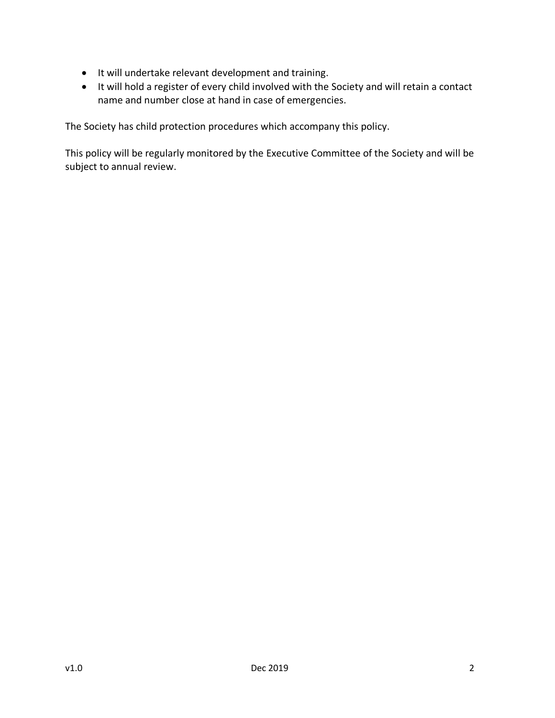- It will undertake relevant development and training.
- It will hold a register of every child involved with the Society and will retain a contact name and number close at hand in case of emergencies.

The Society has child protection procedures which accompany this policy.

This policy will be regularly monitored by the Executive Committee of the Society and will be subject to annual review.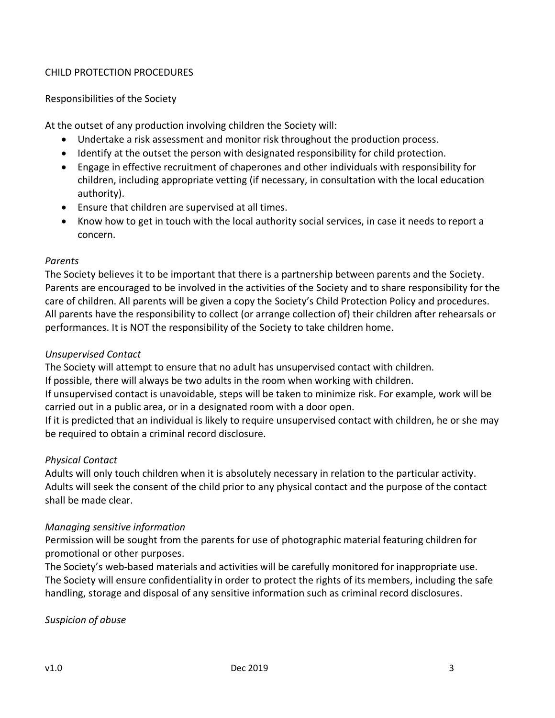## CHILD PROTECTION PROCEDURES

#### Responsibilities of the Society

At the outset of any production involving children the Society will:

- Undertake a risk assessment and monitor risk throughout the production process.
- Identify at the outset the person with designated responsibility for child protection.
- Engage in effective recruitment of chaperones and other individuals with responsibility for children, including appropriate vetting (if necessary, in consultation with the local education authority).
- Ensure that children are supervised at all times.
- Know how to get in touch with the local authority social services, in case it needs to report a concern.

#### *Parents*

The Society believes it to be important that there is a partnership between parents and the Society. Parents are encouraged to be involved in the activities of the Society and to share responsibility for the care of children. All parents will be given a copy the Society's Child Protection Policy and procedures. All parents have the responsibility to collect (or arrange collection of) their children after rehearsals or performances. It is NOT the responsibility of the Society to take children home.

## *Unsupervised Contact*

The Society will attempt to ensure that no adult has unsupervised contact with children.

If possible, there will always be two adults in the room when working with children.

If unsupervised contact is unavoidable, steps will be taken to minimize risk. For example, work will be carried out in a public area, or in a designated room with a door open.

If it is predicted that an individual is likely to require unsupervised contact with children, he or she may be required to obtain a criminal record disclosure.

#### *Physical Contact*

Adults will only touch children when it is absolutely necessary in relation to the particular activity. Adults will seek the consent of the child prior to any physical contact and the purpose of the contact shall be made clear.

#### *Managing sensitive information*

Permission will be sought from the parents for use of photographic material featuring children for promotional or other purposes.

The Society's web-based materials and activities will be carefully monitored for inappropriate use. The Society will ensure confidentiality in order to protect the rights of its members, including the safe handling, storage and disposal of any sensitive information such as criminal record disclosures.

*Suspicion of abuse*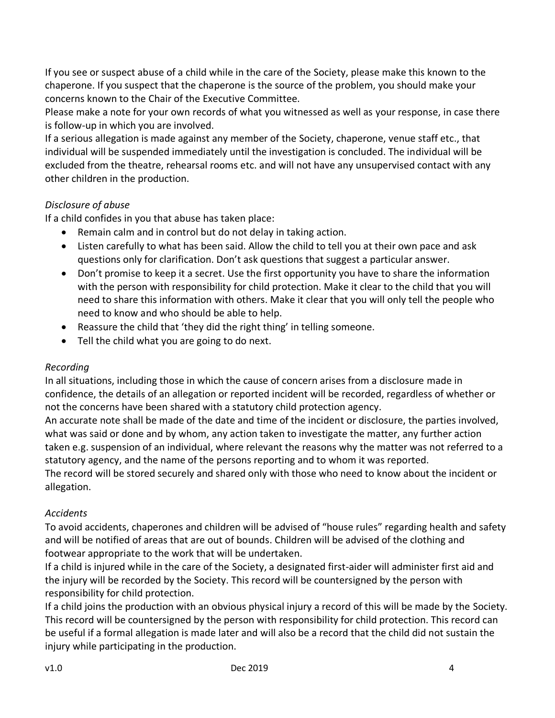If you see or suspect abuse of a child while in the care of the Society, please make this known to the chaperone. If you suspect that the chaperone is the source of the problem, you should make your concerns known to the Chair of the Executive Committee.

Please make a note for your own records of what you witnessed as well as your response, in case there is follow-up in which you are involved.

If a serious allegation is made against any member of the Society, chaperone, venue staff etc., that individual will be suspended immediately until the investigation is concluded. The individual will be excluded from the theatre, rehearsal rooms etc. and will not have any unsupervised contact with any other children in the production.

# *Disclosure of abuse*

If a child confides in you that abuse has taken place:

- Remain calm and in control but do not delay in taking action.
- Listen carefully to what has been said. Allow the child to tell you at their own pace and ask questions only for clarification. Don't ask questions that suggest a particular answer.
- Don't promise to keep it a secret. Use the first opportunity you have to share the information with the person with responsibility for child protection. Make it clear to the child that you will need to share this information with others. Make it clear that you will only tell the people who need to know and who should be able to help.
- Reassure the child that 'they did the right thing' in telling someone.
- Tell the child what you are going to do next.

#### *Recording*

In all situations, including those in which the cause of concern arises from a disclosure made in confidence, the details of an allegation or reported incident will be recorded, regardless of whether or not the concerns have been shared with a statutory child protection agency.

An accurate note shall be made of the date and time of the incident or disclosure, the parties involved, what was said or done and by whom, any action taken to investigate the matter, any further action taken e.g. suspension of an individual, where relevant the reasons why the matter was not referred to a statutory agency, and the name of the persons reporting and to whom it was reported.

The record will be stored securely and shared only with those who need to know about the incident or allegation.

# *Accidents*

To avoid accidents, chaperones and children will be advised of "house rules" regarding health and safety and will be notified of areas that are out of bounds. Children will be advised of the clothing and footwear appropriate to the work that will be undertaken.

If a child is injured while in the care of the Society, a designated first-aider will administer first aid and the injury will be recorded by the Society. This record will be countersigned by the person with responsibility for child protection.

If a child joins the production with an obvious physical injury a record of this will be made by the Society. This record will be countersigned by the person with responsibility for child protection. This record can be useful if a formal allegation is made later and will also be a record that the child did not sustain the injury while participating in the production.